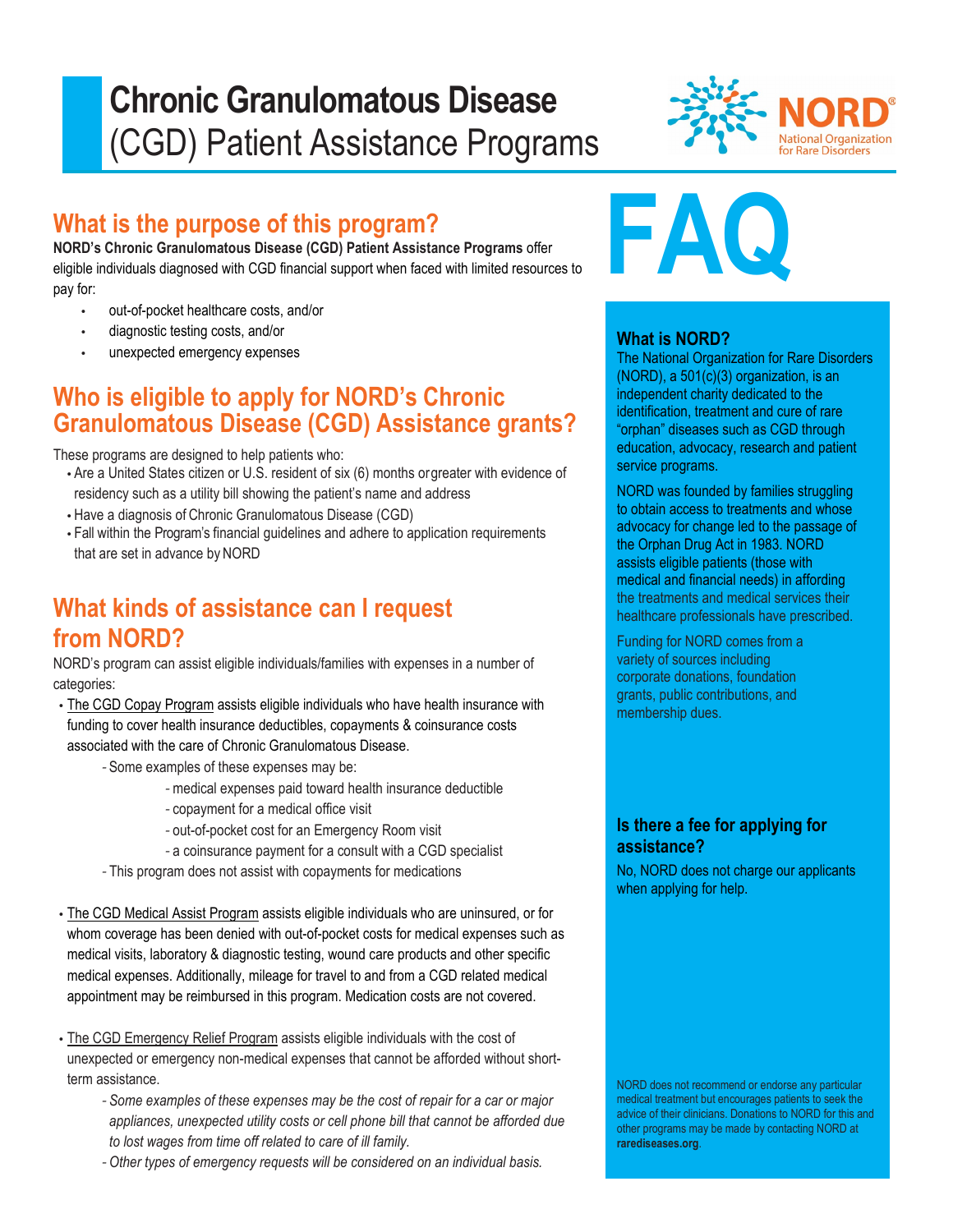# **Chronic Granulomatous Disease** (CGD) Patient Assistance Programs



## **What is the purpose of this program?**

**NORD's Chronic Granulomatous Disease (CGD) Patient Assistance Programs** offer eligible individuals diagnosed with CGD financial support when faced with limited resources to pay for:

- out-of-pocket healthcare costs, and/or
- diagnostic testing costs, and/or
- unexpected emergency expenses

## **Who is eligible to apply for NORD's Chronic Granulomatous Disease (CGD) Assistance grants?**

These programs are designed to help patients who:

- Are a United States citizen or U.S. resident of six (6) months orgreater with evidence of residency such as a utility bill showing the patient's name and address
- Have a diagnosis of Chronic Granulomatous Disease (CGD)
- Fall within the Program's financial guidelines and adhere to application requirements that are set in advance by NORD

#### **What kinds of assistance can I request from NORD?**

NORD's program can assist eligible individuals/families with expenses in a number of categories:

- The CGD Copay Program assists eligible individuals who have health insurance with funding to cover health insurance deductibles, copayments & coinsurance costs associated with the care of Chronic Granulomatous Disease.
	- *-* Some examples of these expenses may be:
		- *-* medical expenses paid toward health insurance deductible
		- *-* copayment for a medical office visit
		- *-* out-of-pocket cost for an Emergency Room visit
		- *-* a coinsurance payment for a consult with a CGD specialist
	- *-* This program does not assist with copayments for medications
- The CGD Medical Assist Program assists eligible individuals who are uninsured, or for whom coverage has been denied with out-of-pocket costs for medical expenses such as medical visits, laboratory & diagnostic testing, wound care products and other specific medical expenses. Additionally, mileage for travel to and from a CGD related medical appointment may be reimbursed in this program. Medication costs are not covered.
- The CGD Emergency Relief Program assists eligible individuals with the cost of unexpected or emergency non-medical expenses that cannot be afforded without shortterm assistance.
	- *- Some examples of these expenses may be the cost of repair for a car or major appliances, unexpected utility costs or cell phone bill that cannot be afforded due to lost wages from time off related to care of ill family.*
	- *- Other types of emergency requests will be considered on an individual basis.*



#### **What is NORD?**

The National Organization for Rare Disorders (NORD), a 501(c)(3) organization, is an independent charity dedicated to the identification, treatment and cure of rare "orphan" diseases such as CGD through education, advocacy, research and patient service programs.

NORD was founded by families struggling to obtain access to treatments and whose advocacy for change led to the passage of the Orphan Drug Act in 1983. NORD assists eligible patients (those with medical and financial needs) in affording the treatments and medical services their healthcare professionals have prescribed.

Funding for NORD comes from a variety of sources including corporate donations, foundation grants, public contributions, and membership dues.

#### **Is there a fee for applying for assistance?**

No, NORD does not charge our applicants when applying for help.

NORD does not recommend or endorse any particular medical treatment but encourages patients to seek the advice of their clinicians. Donations to NORD for this and other programs may be made by contacting NORD at **rarediseases.org**.